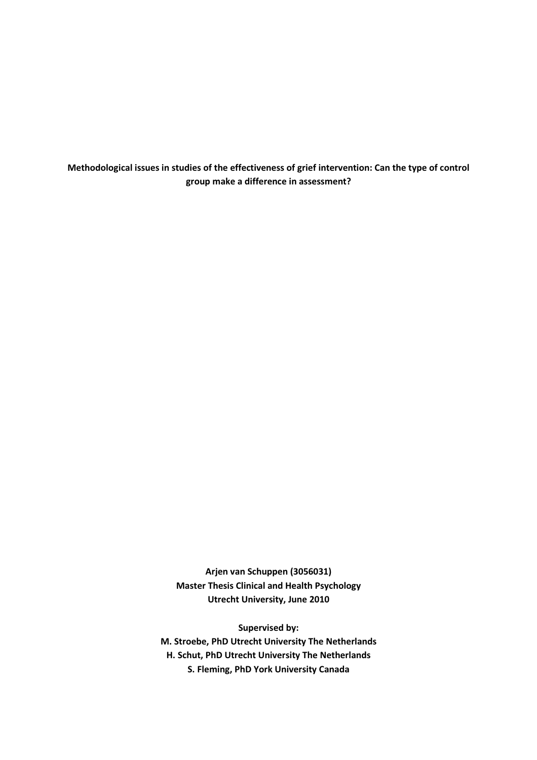Methodological issues in studies of the effectiveness of grief intervention: Can the type of control group make a difference in assessment?

> Arjen van Schuppen (3056031) Master Thesis Clinical and Health Psychology Utrecht University, June 2010

Supervised by: M. Stroebe, PhD Utrecht University The Netherlands H. Schut, PhD Utrecht University The Netherlands S. Fleming, PhD York University Canada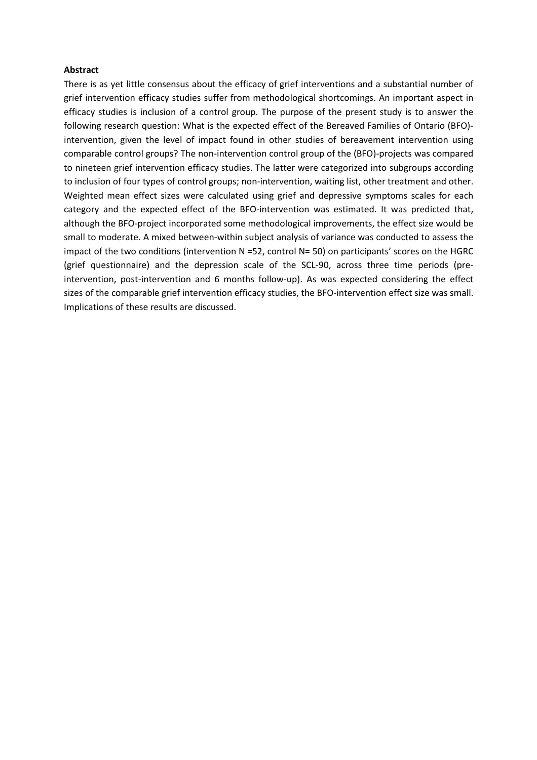### Abstract

There is as yet little consensus about the efficacy of grief interventions and a substantial number of grief intervention efficacy studies suffer from methodological shortcomings. An important aspect in efficacy studies is inclusion of a control group. The purpose of the present study is to answer the following research question: What is the expected effect of the Bereaved Families of Ontario (BFO) intervention, given the level of impact found in other studies of bereavement intervention using comparable control groups? The non-intervention control group of the (BFO)-projects was compared to nineteen grief intervention efficacy studies. The latter were categorized into subgroups according to inclusion of four types of control groups; non-intervention, waiting list, other treatment and other. Weighted mean effect sizes were calculated using grief and depressive symptoms scales for each category and the expected effect of the BFO-intervention was estimated. It was predicted that, although the BFO-project incorporated some methodological improvements, the effect size would be small to moderate. A mixed between-within subject analysis of variance was conducted to assess the impact of the two conditions (intervention N =52, control N= 50) on participants' scores on the HGRC (grief questionnaire) and the depression scale of the SCL-90, across three time periods (preintervention, post-intervention and 6 months follow-up). As was expected considering the effect sizes of the comparable grief intervention efficacy studies, the BFO-intervention effect size was small. Implications of these results are discussed.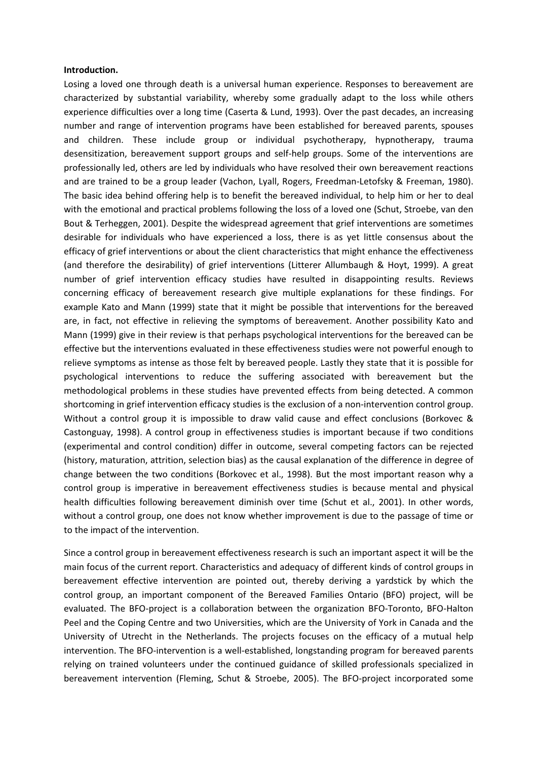### Introduction.

Losing a loved one through death is a universal human experience. Responses to bereavement are characterized by substantial variability, whereby some gradually adapt to the loss while others experience difficulties over a long time (Caserta & Lund, 1993). Over the past decades, an increasing number and range of intervention programs have been established for bereaved parents, spouses and children. These include group or individual psychotherapy, hypnotherapy, trauma desensitization, bereavement support groups and self-help groups. Some of the interventions are professionally led, others are led by individuals who have resolved their own bereavement reactions and are trained to be a group leader (Vachon, Lyall, Rogers, Freedman-Letofsky & Freeman, 1980). The basic idea behind offering help is to benefit the bereaved individual, to help him or her to deal with the emotional and practical problems following the loss of a loved one (Schut, Stroebe, van den Bout & Terheggen, 2001). Despite the widespread agreement that grief interventions are sometimes desirable for individuals who have experienced a loss, there is as yet little consensus about the efficacy of grief interventions or about the client characteristics that might enhance the effectiveness (and therefore the desirability) of grief interventions (Litterer Allumbaugh & Hoyt, 1999). A great number of grief intervention efficacy studies have resulted in disappointing results. Reviews concerning efficacy of bereavement research give multiple explanations for these findings. For example Kato and Mann (1999) state that it might be possible that interventions for the bereaved are, in fact, not effective in relieving the symptoms of bereavement. Another possibility Kato and Mann (1999) give in their review is that perhaps psychological interventions for the bereaved can be effective but the interventions evaluated in these effectiveness studies were not powerful enough to relieve symptoms as intense as those felt by bereaved people. Lastly they state that it is possible for psychological interventions to reduce the suffering associated with bereavement but the methodological problems in these studies have prevented effects from being detected. A common shortcoming in grief intervention efficacy studies is the exclusion of a non-intervention control group. Without a control group it is impossible to draw valid cause and effect conclusions (Borkovec & Castonguay, 1998). A control group in effectiveness studies is important because if two conditions (experimental and control condition) differ in outcome, several competing factors can be rejected (history, maturation, attrition, selection bias) as the causal explanation of the difference in degree of change between the two conditions (Borkovec et al., 1998). But the most important reason why a control group is imperative in bereavement effectiveness studies is because mental and physical health difficulties following bereavement diminish over time (Schut et al., 2001). In other words, without a control group, one does not know whether improvement is due to the passage of time or to the impact of the intervention.

Since a control group in bereavement effectiveness research is such an important aspect it will be the main focus of the current report. Characteristics and adequacy of different kinds of control groups in bereavement effective intervention are pointed out, thereby deriving a yardstick by which the control group, an important component of the Bereaved Families Ontario (BFO) project, will be evaluated. The BFO-project is a collaboration between the organization BFO-Toronto, BFO-Halton Peel and the Coping Centre and two Universities, which are the University of York in Canada and the University of Utrecht in the Netherlands. The projects focuses on the efficacy of a mutual help intervention. The BFO-intervention is a well-established, longstanding program for bereaved parents relying on trained volunteers under the continued guidance of skilled professionals specialized in bereavement intervention (Fleming, Schut & Stroebe, 2005). The BFO-project incorporated some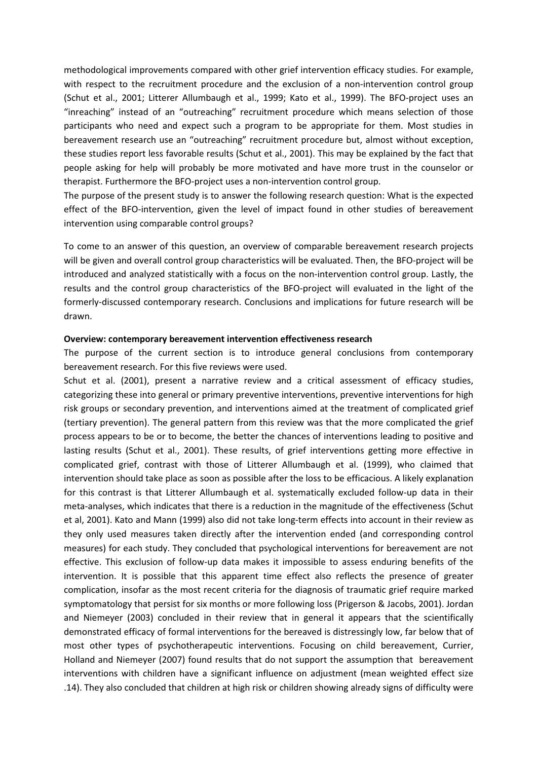methodological improvements compared with other grief intervention efficacy studies. For example, with respect to the recruitment procedure and the exclusion of a non-intervention control group (Schut et al., 2001; Litterer Allumbaugh et al., 1999; Kato et al., 1999). The BFO-project uses an "inreaching" instead of an "outreaching" recruitment procedure which means selection of those participants who need and expect such a program to be appropriate for them. Most studies in bereavement research use an "outreaching" recruitment procedure but, almost without exception, these studies report less favorable results (Schut et al., 2001). This may be explained by the fact that people asking for help will probably be more motivated and have more trust in the counselor or therapist. Furthermore the BFO-project uses a non-intervention control group.

The purpose of the present study is to answer the following research question: What is the expected effect of the BFO-intervention, given the level of impact found in other studies of bereavement intervention using comparable control groups?

To come to an answer of this question, an overview of comparable bereavement research projects will be given and overall control group characteristics will be evaluated. Then, the BFO-project will be introduced and analyzed statistically with a focus on the non-intervention control group. Lastly, the results and the control group characteristics of the BFO-project will evaluated in the light of the formerly-discussed contemporary research. Conclusions and implications for future research will be drawn.

### Overview: contemporary bereavement intervention effectiveness research

The purpose of the current section is to introduce general conclusions from contemporary bereavement research. For this five reviews were used.

Schut et al. (2001), present a narrative review and a critical assessment of efficacy studies, categorizing these into general or primary preventive interventions, preventive interventions for high risk groups or secondary prevention, and interventions aimed at the treatment of complicated grief (tertiary prevention). The general pattern from this review was that the more complicated the grief process appears to be or to become, the better the chances of interventions leading to positive and lasting results (Schut et al., 2001). These results, of grief interventions getting more effective in complicated grief, contrast with those of Litterer Allumbaugh et al. (1999), who claimed that intervention should take place as soon as possible after the loss to be efficacious. A likely explanation for this contrast is that Litterer Allumbaugh et al. systematically excluded follow-up data in their meta-analyses, which indicates that there is a reduction in the magnitude of the effectiveness (Schut et al, 2001). Kato and Mann (1999) also did not take long-term effects into account in their review as they only used measures taken directly after the intervention ended (and corresponding control measures) for each study. They concluded that psychological interventions for bereavement are not effective. This exclusion of follow-up data makes it impossible to assess enduring benefits of the intervention. It is possible that this apparent time effect also reflects the presence of greater complication, insofar as the most recent criteria for the diagnosis of traumatic grief require marked symptomatology that persist for six months or more following loss (Prigerson & Jacobs, 2001). Jordan and Niemeyer (2003) concluded in their review that in general it appears that the scientifically demonstrated efficacy of formal interventions for the bereaved is distressingly low, far below that of most other types of psychotherapeutic interventions. Focusing on child bereavement, Currier, Holland and Niemeyer (2007) found results that do not support the assumption that bereavement interventions with children have a significant influence on adjustment (mean weighted effect size .14). They also concluded that children at high risk or children showing already signs of difficulty were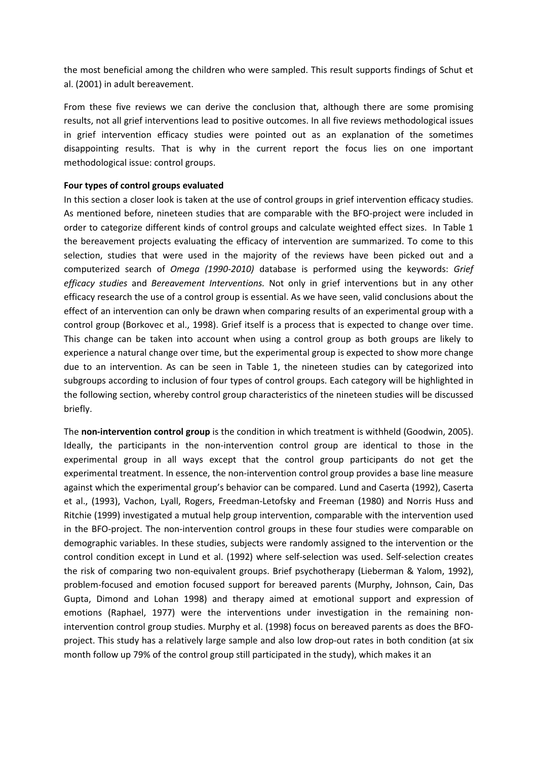the most beneficial among the children who were sampled. This result supports findings of Schut et al. (2001) in adult bereavement.

From these five reviews we can derive the conclusion that, although there are some promising results, not all grief interventions lead to positive outcomes. In all five reviews methodological issues in grief intervention efficacy studies were pointed out as an explanation of the sometimes disappointing results. That is why in the current report the focus lies on one important methodological issue: control groups.

## Four types of control groups evaluated

In this section a closer look is taken at the use of control groups in grief intervention efficacy studies. As mentioned before, nineteen studies that are comparable with the BFO-project were included in order to categorize different kinds of control groups and calculate weighted effect sizes. In Table 1 the bereavement projects evaluating the efficacy of intervention are summarized. To come to this selection, studies that were used in the majority of the reviews have been picked out and a computerized search of Omega (1990-2010) database is performed using the keywords: Grief efficacy studies and Bereavement Interventions. Not only in grief interventions but in any other efficacy research the use of a control group is essential. As we have seen, valid conclusions about the effect of an intervention can only be drawn when comparing results of an experimental group with a control group (Borkovec et al., 1998). Grief itself is a process that is expected to change over time. This change can be taken into account when using a control group as both groups are likely to experience a natural change over time, but the experimental group is expected to show more change due to an intervention. As can be seen in Table 1, the nineteen studies can by categorized into subgroups according to inclusion of four types of control groups. Each category will be highlighted in the following section, whereby control group characteristics of the nineteen studies will be discussed briefly.

The non-intervention control group is the condition in which treatment is withheld (Goodwin, 2005). Ideally, the participants in the non-intervention control group are identical to those in the experimental group in all ways except that the control group participants do not get the experimental treatment. In essence, the non-intervention control group provides a base line measure against which the experimental group's behavior can be compared. Lund and Caserta (1992), Caserta et al., (1993), Vachon, Lyall, Rogers, Freedman-Letofsky and Freeman (1980) and Norris Huss and Ritchie (1999) investigated a mutual help group intervention, comparable with the intervention used in the BFO-project. The non-intervention control groups in these four studies were comparable on demographic variables. In these studies, subjects were randomly assigned to the intervention or the control condition except in Lund et al. (1992) where self-selection was used. Self-selection creates the risk of comparing two non-equivalent groups. Brief psychotherapy (Lieberman & Yalom, 1992), problem-focused and emotion focused support for bereaved parents (Murphy, Johnson, Cain, Das Gupta, Dimond and Lohan 1998) and therapy aimed at emotional support and expression of emotions (Raphael, 1977) were the interventions under investigation in the remaining nonintervention control group studies. Murphy et al. (1998) focus on bereaved parents as does the BFOproject. This study has a relatively large sample and also low drop-out rates in both condition (at six month follow up 79% of the control group still participated in the study), which makes it an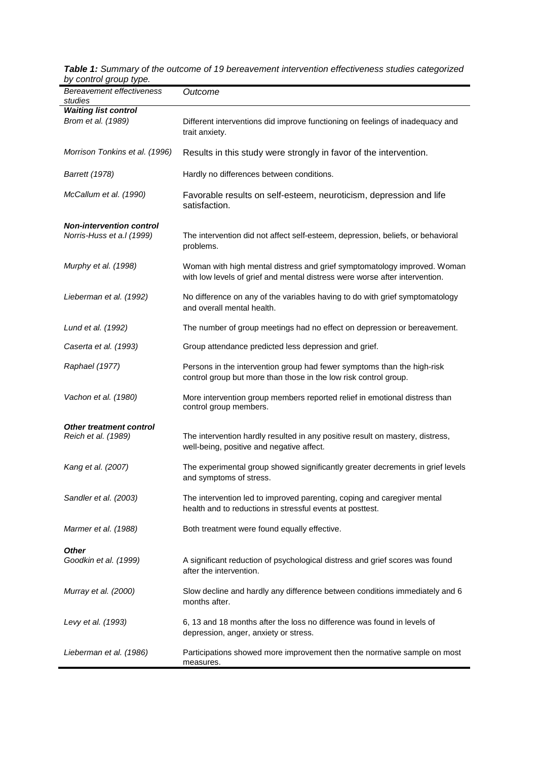| $50.100$ $50.90$ $50.90$<br>Bereavement effectiveness<br>studies | Outcome                                                                                                                                                 |  |
|------------------------------------------------------------------|---------------------------------------------------------------------------------------------------------------------------------------------------------|--|
| <b>Waiting list control</b><br>Brom et al. (1989)                | Different interventions did improve functioning on feelings of inadequacy and<br>trait anxiety.                                                         |  |
| Morrison Tonkins et al. (1996)                                   | Results in this study were strongly in favor of the intervention.                                                                                       |  |
| <b>Barrett</b> (1978)                                            | Hardly no differences between conditions.                                                                                                               |  |
| McCallum et al. (1990)                                           | Favorable results on self-esteem, neuroticism, depression and life<br>satisfaction.                                                                     |  |
| <b>Non-intervention control</b><br>Norris-Huss et a.l (1999)     | The intervention did not affect self-esteem, depression, beliefs, or behavioral<br>problems.                                                            |  |
| Murphy et al. (1998)                                             | Woman with high mental distress and grief symptomatology improved. Woman<br>with low levels of grief and mental distress were worse after intervention. |  |
| Lieberman et al. (1992)                                          | No difference on any of the variables having to do with grief symptomatology<br>and overall mental health.                                              |  |
| Lund et al. (1992)                                               | The number of group meetings had no effect on depression or bereavement.                                                                                |  |
| Caserta et al. (1993)                                            | Group attendance predicted less depression and grief.                                                                                                   |  |
| Raphael (1977)                                                   | Persons in the intervention group had fewer symptoms than the high-risk<br>control group but more than those in the low risk control group.             |  |
| Vachon et al. (1980)                                             | More intervention group members reported relief in emotional distress than<br>control group members.                                                    |  |
| <b>Other treatment control</b><br>Reich et al. (1989)            | The intervention hardly resulted in any positive result on mastery, distress,<br>well-being, positive and negative affect.                              |  |
| Kang et al. (2007)                                               | The experimental group showed significantly greater decrements in grief levels<br>and symptoms of stress.                                               |  |
| Sandler et al. (2003)                                            | The intervention led to improved parenting, coping and caregiver mental<br>health and to reductions in stressful events at posttest.                    |  |
| Marmer et al. (1988)                                             | Both treatment were found equally effective.                                                                                                            |  |
| Other<br>Goodkin et al. (1999)                                   | A significant reduction of psychological distress and grief scores was found<br>after the intervention.                                                 |  |
| Murray et al. (2000)                                             | Slow decline and hardly any difference between conditions immediately and 6<br>months after.                                                            |  |
| Levy et al. (1993)                                               | 6, 13 and 18 months after the loss no difference was found in levels of<br>depression, anger, anxiety or stress.                                        |  |
| Lieberman et al. (1986)                                          | Participations showed more improvement then the normative sample on most<br>measures.                                                                   |  |

**Table 1:** Summary of the outcome of 19 bereavement intervention effectiveness studies categorized by control group type.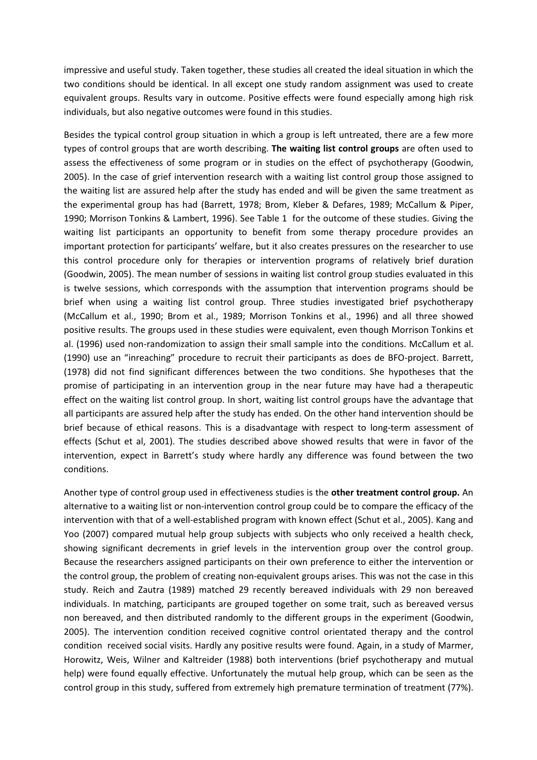impressive and useful study. Taken together, these studies all created the ideal situation in which the two conditions should be identical. In all except one study random assignment was used to create equivalent groups. Results vary in outcome. Positive effects were found especially among high risk individuals, but also negative outcomes were found in this studies.

Besides the typical control group situation in which a group is left untreated, there are a few more types of control groups that are worth describing. The waiting list control groups are often used to assess the effectiveness of some program or in studies on the effect of psychotherapy (Goodwin, 2005). In the case of grief intervention research with a waiting list control group those assigned to the waiting list are assured help after the study has ended and will be given the same treatment as the experimental group has had (Barrett, 1978; Brom, Kleber & Defares, 1989; McCallum & Piper, 1990; Morrison Tonkins & Lambert, 1996). See Table 1 for the outcome of these studies. Giving the waiting list participants an opportunity to benefit from some therapy procedure provides an important protection for participants' welfare, but it also creates pressures on the researcher to use this control procedure only for therapies or intervention programs of relatively brief duration (Goodwin, 2005). The mean number of sessions in waiting list control group studies evaluated in this is twelve sessions, which corresponds with the assumption that intervention programs should be brief when using a waiting list control group. Three studies investigated brief psychotherapy (McCallum et al., 1990; Brom et al., 1989; Morrison Tonkins et al., 1996) and all three showed positive results. The groups used in these studies were equivalent, even though Morrison Tonkins et al. (1996) used non-randomization to assign their small sample into the conditions. McCallum et al. (1990) use an "inreaching" procedure to recruit their participants as does de BFO-project. Barrett, (1978) did not find significant differences between the two conditions. She hypotheses that the promise of participating in an intervention group in the near future may have had a therapeutic effect on the waiting list control group. In short, waiting list control groups have the advantage that all participants are assured help after the study has ended. On the other hand intervention should be brief because of ethical reasons. This is a disadvantage with respect to long-term assessment of effects (Schut et al, 2001). The studies described above showed results that were in favor of the intervention, expect in Barrett's study where hardly any difference was found between the two conditions.

Another type of control group used in effectiveness studies is the other treatment control group. An alternative to a waiting list or non-intervention control group could be to compare the efficacy of the intervention with that of a well-established program with known effect (Schut et al., 2005). Kang and Yoo (2007) compared mutual help group subjects with subjects who only received a health check, showing significant decrements in grief levels in the intervention group over the control group. Because the researchers assigned participants on their own preference to either the intervention or the control group, the problem of creating non-equivalent groups arises. This was not the case in this study. Reich and Zautra (1989) matched 29 recently bereaved individuals with 29 non bereaved individuals. In matching, participants are grouped together on some trait, such as bereaved versus non bereaved, and then distributed randomly to the different groups in the experiment (Goodwin, 2005). The intervention condition received cognitive control orientated therapy and the control condition received social visits. Hardly any positive results were found. Again, in a study of Marmer, Horowitz, Weis, Wilner and Kaltreider (1988) both interventions (brief psychotherapy and mutual help) were found equally effective. Unfortunately the mutual help group, which can be seen as the control group in this study, suffered from extremely high premature termination of treatment (77%).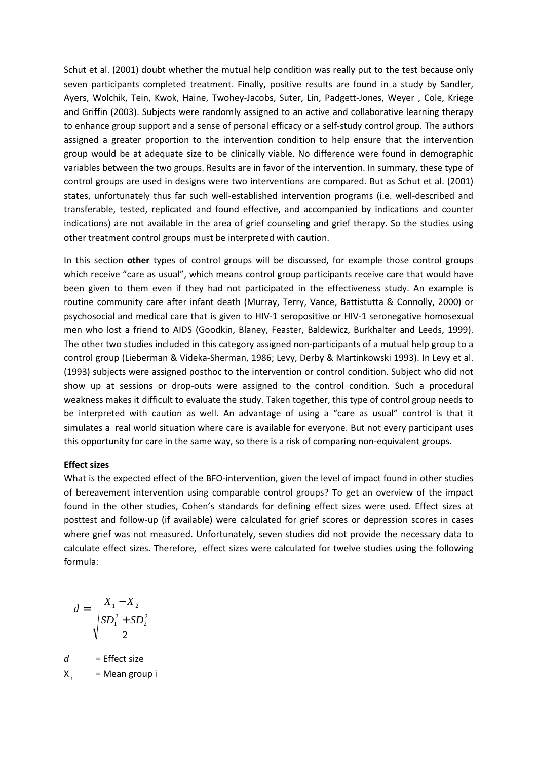Schut et al. (2001) doubt whether the mutual help condition was really put to the test because only seven participants completed treatment. Finally, positive results are found in a study by Sandler, Ayers, Wolchik, Tein, Kwok, Haine, Twohey-Jacobs, Suter, Lin, Padgett-Jones, Weyer , Cole, Kriege and Griffin (2003). Subjects were randomly assigned to an active and collaborative learning therapy to enhance group support and a sense of personal efficacy or a self-study control group. The authors assigned a greater proportion to the intervention condition to help ensure that the intervention group would be at adequate size to be clinically viable. No difference were found in demographic variables between the two groups. Results are in favor of the intervention. In summary, these type of control groups are used in designs were two interventions are compared. But as Schut et al. (2001) states, unfortunately thus far such well-established intervention programs (i.e. well-described and transferable, tested, replicated and found effective, and accompanied by indications and counter indications) are not available in the area of grief counseling and grief therapy. So the studies using other treatment control groups must be interpreted with caution.

In this section other types of control groups will be discussed, for example those control groups which receive "care as usual", which means control group participants receive care that would have been given to them even if they had not participated in the effectiveness study. An example is routine community care after infant death (Murray, Terry, Vance, Battistutta & Connolly, 2000) or psychosocial and medical care that is given to HIV-1 seropositive or HIV-1 seronegative homosexual men who lost a friend to AIDS (Goodkin, Blaney, Feaster, Baldewicz, Burkhalter and Leeds, 1999). The other two studies included in this category assigned non-participants of a mutual help group to a control group (Lieberman & Videka-Sherman, 1986; Levy, Derby & Martinkowski 1993). In Levy et al. (1993) subjects were assigned posthoc to the intervention or control condition. Subject who did not show up at sessions or drop-outs were assigned to the control condition. Such a procedural weakness makes it difficult to evaluate the study. Taken together, this type of control group needs to be interpreted with caution as well. An advantage of using a "care as usual" control is that it simulates a real world situation where care is available for everyone. But not every participant uses this opportunity for care in the same way, so there is a risk of comparing non-equivalent groups.

## Effect sizes

What is the expected effect of the BFO-intervention, given the level of impact found in other studies of bereavement intervention using comparable control groups? To get an overview of the impact found in the other studies, Cohen's standards for defining effect sizes were used. Effect sizes at posttest and follow-up (if available) were calculated for grief scores or depression scores in cases where grief was not measured. Unfortunately, seven studies did not provide the necessary data to calculate effect sizes. Therefore, effect sizes were calculated for twelve studies using the following formula:

$$
d = \frac{X_1 - X_2}{\sqrt{\frac{SD_1^2 + SD_2^2}{2}}}
$$

 $d =$  Effect size

X *i* = Mean group i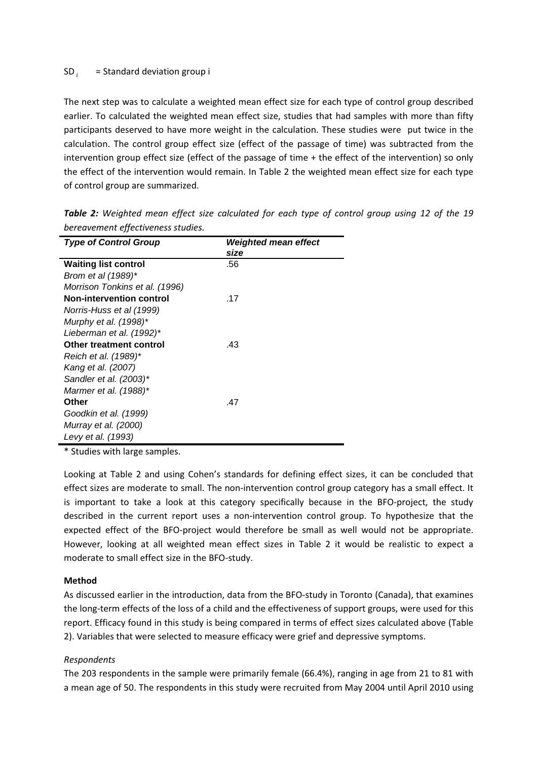#### SD*<sup>i</sup>* = Standard deviation group i

The next step was to calculate a weighted mean effect size for each type of control group described earlier. To calculated the weighted mean effect size, studies that had samples with more than fifty participants deserved to have more weight in the calculation. These studies were put twice in the calculation. The control group effect size (effect of the passage of time) was subtracted from the intervention group effect size (effect of the passage of time + the effect of the intervention) so only the effect of the intervention would remain. In Table 2 the weighted mean effect size for each type of control group are summarized.

| <b>Type of Control Group</b>    | Weighted mean effect |
|---------------------------------|----------------------|
|                                 | size                 |
| <b>Waiting list control</b>     | .56                  |
| Brom et al (1989)*              |                      |
| Morrison Tonkins et al. (1996)  |                      |
| <b>Non-intervention control</b> | .17                  |
| Norris-Huss et al (1999)        |                      |
| Murphy et al. (1998)*           |                      |
| Lieberman et al. (1992)*        |                      |
| Other treatment control         | .43                  |
| Reich et al. (1989)*            |                      |
| Kang et al. (2007)              |                      |
| Sandler et al. (2003)*          |                      |
| Marmer et al. (1988)*           |                      |
| Other                           | .47                  |
| Goodkin et al. (1999)           |                      |
| Murray et al. (2000)            |                      |
| Levy et al. (1993)              |                      |

Table 2: Weighted mean effect size calculated for each type of control group using 12 of the 19 bereavement effectiveness studies.

\* Studies with large samples.

Looking at Table 2 and using Cohen's standards for defining effect sizes, it can be concluded that effect sizes are moderate to small. The non-intervention control group category has a small effect. It is important to take a look at this category specifically because in the BFO-project, the study described in the current report uses a non-intervention control group. To hypothesize that the expected effect of the BFO-project would therefore be small as well would not be appropriate. However, looking at all weighted mean effect sizes in Table 2 it would be realistic to expect a moderate to small effect size in the BFO-study.

## Method

As discussed earlier in the introduction, data from the BFO-study in Toronto (Canada), that examines the long-term effects of the loss of a child and the effectiveness of support groups, were used for this report. Efficacy found in this study is being compared in terms of effect sizes calculated above (Table 2). Variables that were selected to measure efficacy were grief and depressive symptoms.

# Respondents

The 203 respondents in the sample were primarily female (66.4%), ranging in age from 21 to 81 with a mean age of 50. The respondents in this study were recruited from May 2004 until April 2010 using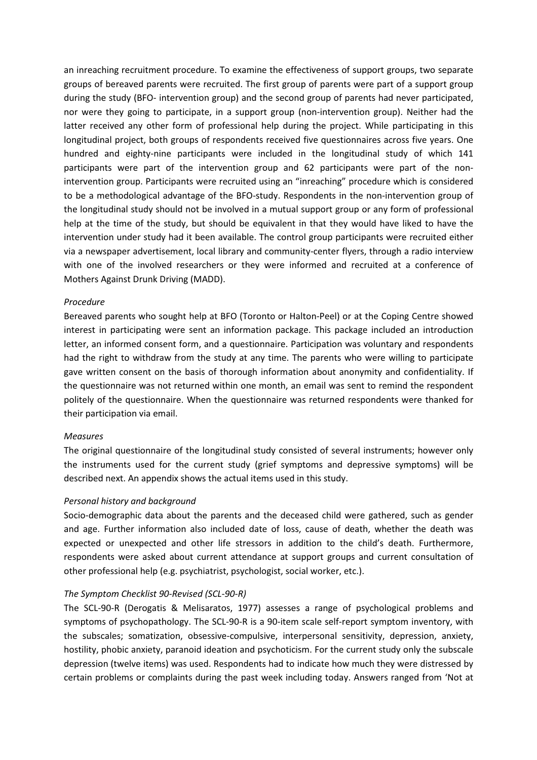an inreaching recruitment procedure. To examine the effectiveness of support groups, two separate groups of bereaved parents were recruited. The first group of parents were part of a support group during the study (BFO- intervention group) and the second group of parents had never participated, nor were they going to participate, in a support group (non-intervention group). Neither had the latter received any other form of professional help during the project. While participating in this longitudinal project, both groups of respondents received five questionnaires across five years. One hundred and eighty-nine participants were included in the longitudinal study of which 141 participants were part of the intervention group and 62 participants were part of the nonintervention group. Participants were recruited using an "inreaching" procedure which is considered to be a methodological advantage of the BFO-study. Respondents in the non-intervention group of the longitudinal study should not be involved in a mutual support group or any form of professional help at the time of the study, but should be equivalent in that they would have liked to have the intervention under study had it been available. The control group participants were recruited either via a newspaper advertisement, local library and community-center flyers, through a radio interview with one of the involved researchers or they were informed and recruited at a conference of Mothers Against Drunk Driving (MADD).

### Procedure

Bereaved parents who sought help at BFO (Toronto or Halton-Peel) or at the Coping Centre showed interest in participating were sent an information package. This package included an introduction letter, an informed consent form, and a questionnaire. Participation was voluntary and respondents had the right to withdraw from the study at any time. The parents who were willing to participate gave written consent on the basis of thorough information about anonymity and confidentiality. If the questionnaire was not returned within one month, an email was sent to remind the respondent politely of the questionnaire. When the questionnaire was returned respondents were thanked for their participation via email.

#### Measures

The original questionnaire of the longitudinal study consisted of several instruments; however only the instruments used for the current study (grief symptoms and depressive symptoms) will be described next. An appendix shows the actual items used in this study.

## Personal history and background

Socio-demographic data about the parents and the deceased child were gathered, such as gender and age. Further information also included date of loss, cause of death, whether the death was expected or unexpected and other life stressors in addition to the child's death. Furthermore, respondents were asked about current attendance at support groups and current consultation of other professional help (e.g. psychiatrist, psychologist, social worker, etc.).

## The Symptom Checklist 90-Revised (SCL-90-R)

The SCL-90-R (Derogatis & Melisaratos, 1977) assesses a range of psychological problems and symptoms of psychopathology. The SCL-90-R is a 90-item scale self-report symptom inventory, with the subscales; somatization, obsessive-compulsive, interpersonal sensitivity, depression, anxiety, hostility, phobic anxiety, paranoid ideation and psychoticism. For the current study only the subscale depression (twelve items) was used. Respondents had to indicate how much they were distressed by certain problems or complaints during the past week including today. Answers ranged from 'Not at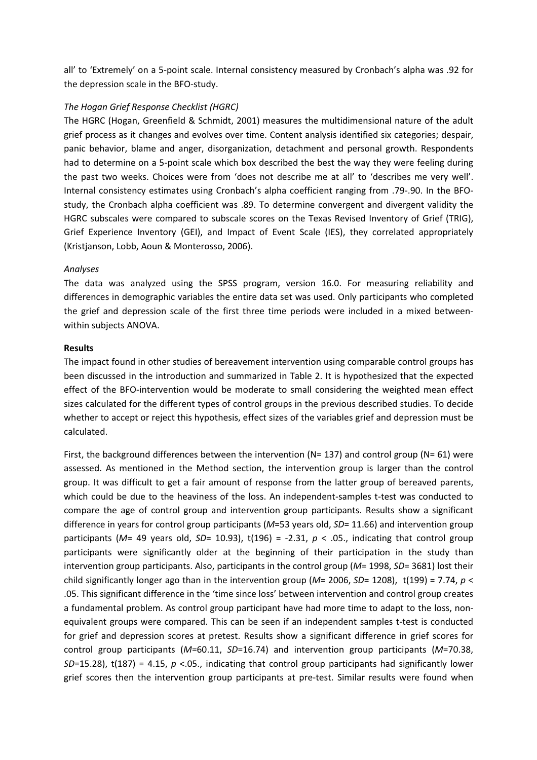all' to 'Extremely' on a 5-point scale. Internal consistency measured by Cronbach's alpha was .92 for the depression scale in the BFO-study.

# The Hogan Grief Response Checklist (HGRC)

The HGRC (Hogan, Greenfield & Schmidt, 2001) measures the multidimensional nature of the adult grief process as it changes and evolves over time. Content analysis identified six categories; despair, panic behavior, blame and anger, disorganization, detachment and personal growth. Respondents had to determine on a 5-point scale which box described the best the way they were feeling during the past two weeks. Choices were from 'does not describe me at all' to 'describes me very well'. Internal consistency estimates using Cronbach's alpha coefficient ranging from .79-.90. In the BFOstudy, the Cronbach alpha coefficient was .89. To determine convergent and divergent validity the HGRC subscales were compared to subscale scores on the Texas Revised Inventory of Grief (TRIG), Grief Experience Inventory (GEI), and Impact of Event Scale (IES), they correlated appropriately (Kristjanson, Lobb, Aoun & Monterosso, 2006).

# Analyses

The data was analyzed using the SPSS program, version 16.0. For measuring reliability and differences in demographic variables the entire data set was used. Only participants who completed the grief and depression scale of the first three time periods were included in a mixed betweenwithin subjects ANOVA.

## Results

The impact found in other studies of bereavement intervention using comparable control groups has been discussed in the introduction and summarized in Table 2. It is hypothesized that the expected effect of the BFO-intervention would be moderate to small considering the weighted mean effect sizes calculated for the different types of control groups in the previous described studies. To decide whether to accept or reject this hypothesis, effect sizes of the variables grief and depression must be calculated.

First, the background differences between the intervention ( $N= 137$ ) and control group ( $N= 61$ ) were assessed. As mentioned in the Method section, the intervention group is larger than the control group. It was difficult to get a fair amount of response from the latter group of bereaved parents, which could be due to the heaviness of the loss. An independent-samples t-test was conducted to compare the age of control group and intervention group participants. Results show a significant difference in years for control group participants ( $M=53$  years old,  $SD= 11.66$ ) and intervention group participants (M= 49 years old, SD= 10.93), t(196) = -2.31, p < .05., indicating that control group participants were significantly older at the beginning of their participation in the study than intervention group participants. Also, participants in the control group ( $M= 1998$ ,  $SD= 3681$ ) lost their child significantly longer ago than in the intervention group ( $M= 2006$ ,  $SD= 1208$ ), t(199) = 7.74, p < .05. This significant difference in the 'time since loss' between intervention and control group creates a fundamental problem. As control group participant have had more time to adapt to the loss, nonequivalent groups were compared. This can be seen if an independent samples t-test is conducted for grief and depression scores at pretest. Results show a significant difference in grief scores for control group participants ( $M=60.11$ ,  $SD=16.74$ ) and intervention group participants ( $M=70.38$ ,  $SD=15.28$ ), t(187) = 4.15, p <.05., indicating that control group participants had significantly lower grief scores then the intervention group participants at pre-test. Similar results were found when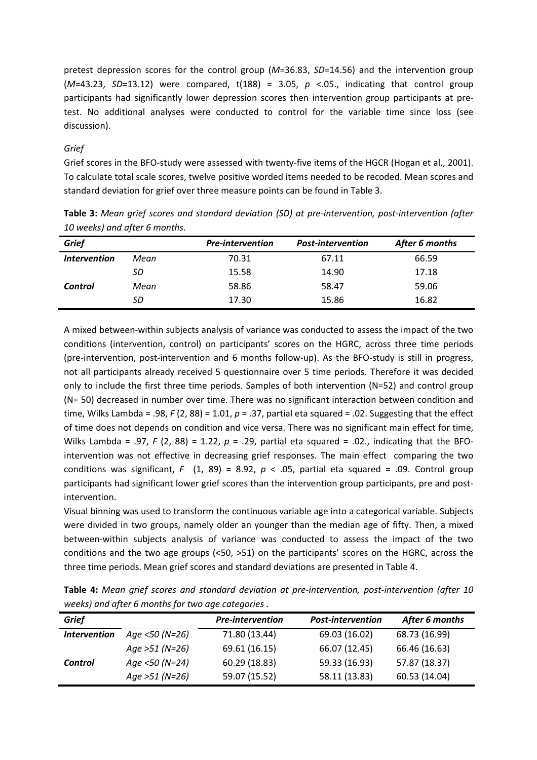pretest depression scores for the control group ( $M=36.83$ ,  $SD=14.56$ ) and the intervention group ( $M=43.23$ ,  $SD=13.12$ ) were compared, t(188) = 3.05,  $p$  <.05., indicating that control group participants had significantly lower depression scores then intervention group participants at pretest. No additional analyses were conducted to control for the variable time since loss (see discussion).

# Grief

Grief scores in the BFO-study were assessed with twenty-five items of the HGCR (Hogan et al., 2001). To calculate total scale scores, twelve positive worded items needed to be recoded. Mean scores and standard deviation for grief over three measure points can be found in Table 3.

| <b>Grief</b>                      |      | <b>Pre-intervention</b> | <b>Post-intervention</b> | After 6 months |
|-----------------------------------|------|-------------------------|--------------------------|----------------|
| <i><u><b>Intervention</b></u></i> | Mean | 70.31                   | 67.11                    | 66.59          |
|                                   | SD   | 15.58                   | 14.90                    | 17.18          |
| Control                           | Mean | 58.86                   | 58.47                    | 59.06          |
|                                   | SD   | 17.30                   | 15.86                    | 16.82          |

Table 3: Mean grief scores and standard deviation (SD) at pre-intervention, post-intervention (after 10 weeks) and after 6 months.

A mixed between-within subjects analysis of variance was conducted to assess the impact of the two conditions (intervention, control) on participants' scores on the HGRC, across three time periods (pre-intervention, post-intervention and 6 months follow-up). As the BFO-study is still in progress, not all participants already received 5 questionnaire over 5 time periods. Therefore it was decided only to include the first three time periods. Samples of both intervention (N=52) and control group (N= 50) decreased in number over time. There was no significant interaction between condition and time, Wilks Lambda = .98, F (2, 88) = 1.01,  $p = .37$ , partial eta squared = .02. Suggesting that the effect of time does not depends on condition and vice versa. There was no significant main effect for time, Wilks Lambda = .97, F (2, 88) = 1.22,  $p = .29$ , partial eta squared = .02., indicating that the BFOintervention was not effective in decreasing grief responses. The main effect comparing the two conditions was significant, F (1, 89) = 8.92,  $p < .05$ , partial eta squared = .09. Control group participants had significant lower grief scores than the intervention group participants, pre and postintervention.

Visual binning was used to transform the continuous variable age into a categorical variable. Subjects were divided in two groups, namely older an younger than the median age of fifty. Then, a mixed between-within subjects analysis of variance was conducted to assess the impact of the two conditions and the two age groups (<50, >51) on the participants' scores on the HGRC, across the three time periods. Mean grief scores and standard deviations are presented in Table 4.

| Griof                                                                                              | <b>Pro-intervention</b> | <b>Post-intervention</b> | After 6 months |  |
|----------------------------------------------------------------------------------------------------|-------------------------|--------------------------|----------------|--|
| weeks) and after 6 months for two age categories.                                                  |                         |                          |                |  |
| Table 4: Mean grief scores and standard deviation at pre-intervention, post-intervention (after 10 |                         |                          |                |  |

| Grief               |                  | <b>Pre-intervention</b> | <b>Post-intervention</b> | After 6 months |
|---------------------|------------------|-------------------------|--------------------------|----------------|
| <b>Intervention</b> | Age <50 (N=26)   | 71.80 (13.44)           | 69.03 (16.02)            | 68.73 (16.99)  |
|                     | Age $>51$ (N=26) | 69.61 (16.15)           | 66.07 (12.45)            | 66.46 (16.63)  |
| Control             | Age <50 (N=24)   | 60.29 (18.83)           | 59.33 (16.93)            | 57.87 (18.37)  |
|                     | Age $>51$ (N=26) | 59.07 (15.52)           | 58.11 (13.83)            | 60.53 (14.04)  |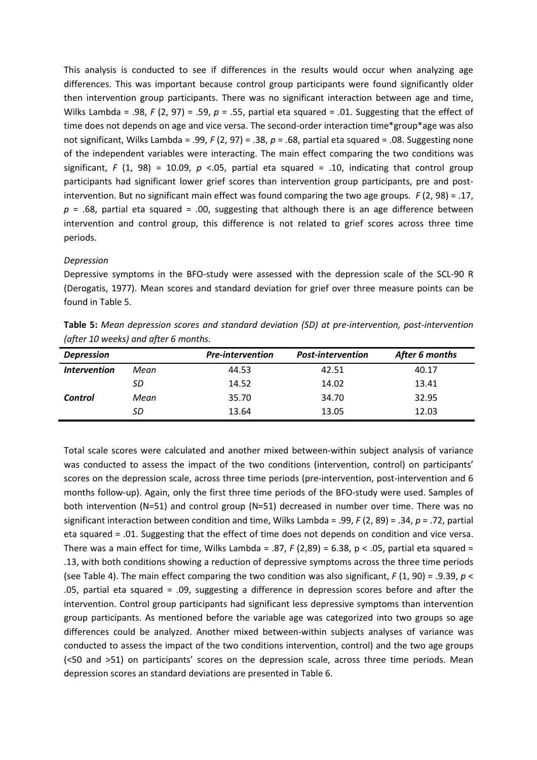This analysis is conducted to see if differences in the results would occur when analyzing age differences. This was important because control group participants were found significantly older then intervention group participants. There was no significant interaction between age and time, Wilks Lambda = .98, F (2, 97) = .59,  $p = .55$ , partial eta squared = .01. Suggesting that the effect of time does not depends on age and vice versa. The second-order interaction time\*group\*age was also not significant, Wilks Lambda = .99, F (2, 97) = .38, p = .68, partial eta squared = .08. Suggesting none of the independent variables were interacting. The main effect comparing the two conditions was significant, F (1, 98) = 10.09, p <.05, partial eta squared = .10, indicating that control group participants had significant lower grief scores than intervention group participants, pre and postintervention. But no significant main effect was found comparing the two age groups. F (2, 98) = .17,  $p = .68$ , partial eta squared = .00, suggesting that although there is an age difference between intervention and control group, this difference is not related to grief scores across three time periods.

## Depression

Depressive symptoms in the BFO-study were assessed with the depression scale of the SCL-90 R (Derogatis, 1977). Mean scores and standard deviation for grief over three measure points can be found in Table 5.

| Table 5: Mean depression scores and standard deviation (SD) at pre-intervention, post-intervention |  |  |
|----------------------------------------------------------------------------------------------------|--|--|
| (after 10 weeks) and after 6 months.                                                               |  |  |

| <b>Depression</b>   |      | <b>Pre-intervention</b> | <b>Post-intervention</b> | After 6 months |  |
|---------------------|------|-------------------------|--------------------------|----------------|--|
| <b>Intervention</b> | Mean | 44.53                   | 42.51                    | 40.17          |  |
|                     | SD   | 14.52                   | 14.02                    | 13.41          |  |
| Control             | Mean | 35.70                   | 34.70                    | 32.95          |  |
|                     | SD   | 13.64                   | 13.05                    | 12.03          |  |
|                     |      |                         |                          |                |  |

Total scale scores were calculated and another mixed between-within subject analysis of variance was conducted to assess the impact of the two conditions (intervention, control) on participants' scores on the depression scale, across three time periods (pre-intervention, post-intervention and 6 months follow-up). Again, only the first three time periods of the BFO-study were used. Samples of both intervention (N=51) and control group (N=51) decreased in number over time. There was no significant interaction between condition and time, Wilks Lambda = .99,  $F(2, 89)$  = .34,  $p = .72$ , partial eta squared = .01. Suggesting that the effect of time does not depends on condition and vice versa. There was a main effect for time, Wilks Lambda = .87,  $F(2,89) = 6.38$ ,  $p < .05$ , partial eta squared = .13, with both conditions showing a reduction of depressive symptoms across the three time periods (see Table 4). The main effect comparing the two condition was also significant,  $F(1, 90) = .9.39$ ,  $p <$ .05, partial eta squared = .09, suggesting a difference in depression scores before and after the intervention. Control group participants had significant less depressive symptoms than intervention group participants. As mentioned before the variable age was categorized into two groups so age differences could be analyzed. Another mixed between-within subjects analyses of variance was conducted to assess the impact of the two conditions intervention, control) and the two age groups (<50 and >51) on participants' scores on the depression scale, across three time periods. Mean depression scores an standard deviations are presented in Table 6.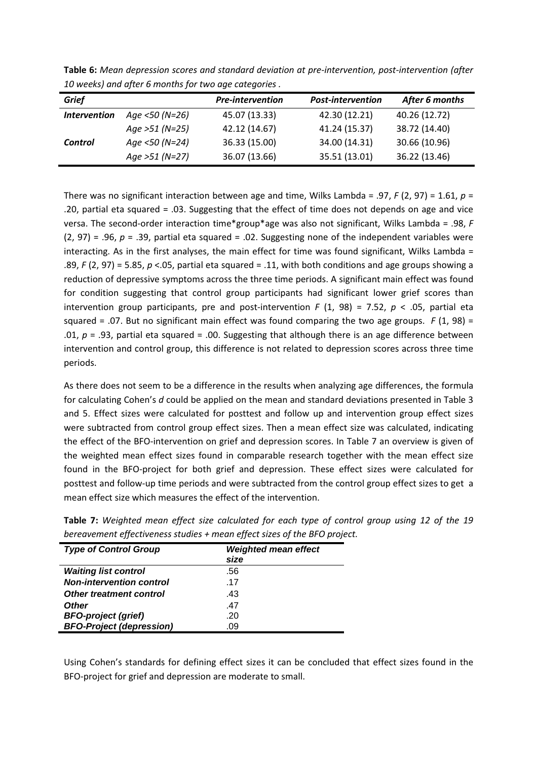| Grief               |                  | <b>Pre-intervention</b> | <b>Post-intervention</b> | After 6 months |
|---------------------|------------------|-------------------------|--------------------------|----------------|
| <b>Intervention</b> | Age <50 (N=26)   | 45.07 (13.33)           | 42.30 (12.21)            | 40.26 (12.72)  |
|                     | Age $>51$ (N=25) | 42.12 (14.67)           | 41.24 (15.37)            | 38.72 (14.40)  |
| Control             | Age <50 (N=24)   | 36.33 (15.00)           | 34.00 (14.31)            | 30.66 (10.96)  |
|                     | Age $>51$ (N=27) | 36.07 (13.66)           | 35.51 (13.01)            | 36.22 (13.46)  |

Table 6: Mean depression scores and standard deviation at pre-intervention, post-intervention (after 10 weeks) and after 6 months for two age categories .

There was no significant interaction between age and time, Wilks Lambda = .97, F (2, 97) = 1.61,  $p =$ .20, partial eta squared = .03. Suggesting that the effect of time does not depends on age and vice versa. The second-order interaction time\*group\*age was also not significant, Wilks Lambda = .98,  $F$  $(2, 97)$  = .96,  $p = .39$ , partial eta squared = .02. Suggesting none of the independent variables were interacting. As in the first analyses, the main effect for time was found significant, Wilks Lambda = .89, F (2, 97) = 5.85, p <.05, partial eta squared = .11, with both conditions and age groups showing a reduction of depressive symptoms across the three time periods. A significant main effect was found for condition suggesting that control group participants had significant lower grief scores than intervention group participants, pre and post-intervention F (1, 98) = 7.52,  $p < .05$ , partial eta squared = .07. But no significant main effect was found comparing the two age groups.  $F(1, 98)$  = .01,  $p = .93$ , partial eta squared = .00. Suggesting that although there is an age difference between intervention and control group, this difference is not related to depression scores across three time periods.

As there does not seem to be a difference in the results when analyzing age differences, the formula for calculating Cohen's d could be applied on the mean and standard deviations presented in Table 3 and 5. Effect sizes were calculated for posttest and follow up and intervention group effect sizes were subtracted from control group effect sizes. Then a mean effect size was calculated, indicating the effect of the BFO-intervention on grief and depression scores. In Table 7 an overview is given of the weighted mean effect sizes found in comparable research together with the mean effect size found in the BFO-project for both grief and depression. These effect sizes were calculated for posttest and follow-up time periods and were subtracted from the control group effect sizes to get a mean effect size which measures the effect of the intervention.

| <b>Type of Control Group</b>    | <b>Weighted mean effect</b> |
|---------------------------------|-----------------------------|
|                                 | size                        |
| <b>Waiting list control</b>     | .56                         |
| <b>Non-intervention control</b> | .17                         |
| <b>Other treatment control</b>  | .43                         |
| <b>Other</b>                    | .47                         |
| <b>BFO-project (grief)</b>      | .20                         |
| <b>BFO-Project (depression)</b> | .09                         |

Table 7: Weighted mean effect size calculated for each type of control group using 12 of the 19 bereavement effectiveness studies + mean effect sizes of the BFO project.

Using Cohen's standards for defining effect sizes it can be concluded that effect sizes found in the BFO-project for grief and depression are moderate to small.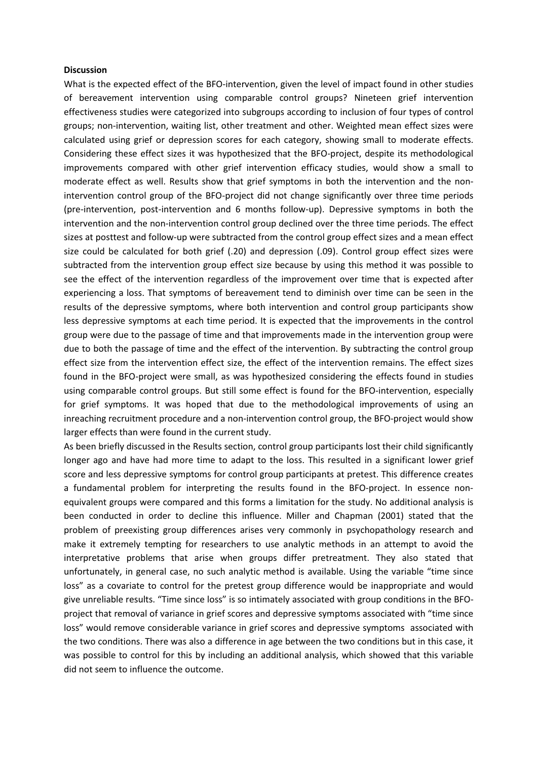#### **Discussion**

What is the expected effect of the BFO-intervention, given the level of impact found in other studies of bereavement intervention using comparable control groups? Nineteen grief intervention effectiveness studies were categorized into subgroups according to inclusion of four types of control groups; non-intervention, waiting list, other treatment and other. Weighted mean effect sizes were calculated using grief or depression scores for each category, showing small to moderate effects. Considering these effect sizes it was hypothesized that the BFO-project, despite its methodological improvements compared with other grief intervention efficacy studies, would show a small to moderate effect as well. Results show that grief symptoms in both the intervention and the nonintervention control group of the BFO-project did not change significantly over three time periods (pre-intervention, post-intervention and 6 months follow-up). Depressive symptoms in both the intervention and the non-intervention control group declined over the three time periods. The effect sizes at posttest and follow-up were subtracted from the control group effect sizes and a mean effect size could be calculated for both grief (.20) and depression (.09). Control group effect sizes were subtracted from the intervention group effect size because by using this method it was possible to see the effect of the intervention regardless of the improvement over time that is expected after experiencing a loss. That symptoms of bereavement tend to diminish over time can be seen in the results of the depressive symptoms, where both intervention and control group participants show less depressive symptoms at each time period. It is expected that the improvements in the control group were due to the passage of time and that improvements made in the intervention group were due to both the passage of time and the effect of the intervention. By subtracting the control group effect size from the intervention effect size, the effect of the intervention remains. The effect sizes found in the BFO-project were small, as was hypothesized considering the effects found in studies using comparable control groups. But still some effect is found for the BFO-intervention, especially for grief symptoms. It was hoped that due to the methodological improvements of using an inreaching recruitment procedure and a non-intervention control group, the BFO-project would show larger effects than were found in the current study.

As been briefly discussed in the Results section, control group participants lost their child significantly longer ago and have had more time to adapt to the loss. This resulted in a significant lower grief score and less depressive symptoms for control group participants at pretest. This difference creates a fundamental problem for interpreting the results found in the BFO-project. In essence nonequivalent groups were compared and this forms a limitation for the study. No additional analysis is been conducted in order to decline this influence. Miller and Chapman (2001) stated that the problem of preexisting group differences arises very commonly in psychopathology research and make it extremely tempting for researchers to use analytic methods in an attempt to avoid the interpretative problems that arise when groups differ pretreatment. They also stated that unfortunately, in general case, no such analytic method is available. Using the variable "time since loss" as a covariate to control for the pretest group difference would be inappropriate and would give unreliable results. "Time since loss" is so intimately associated with group conditions in the BFOproject that removal of variance in grief scores and depressive symptoms associated with "time since loss" would remove considerable variance in grief scores and depressive symptoms associated with the two conditions. There was also a difference in age between the two conditions but in this case, it was possible to control for this by including an additional analysis, which showed that this variable did not seem to influence the outcome.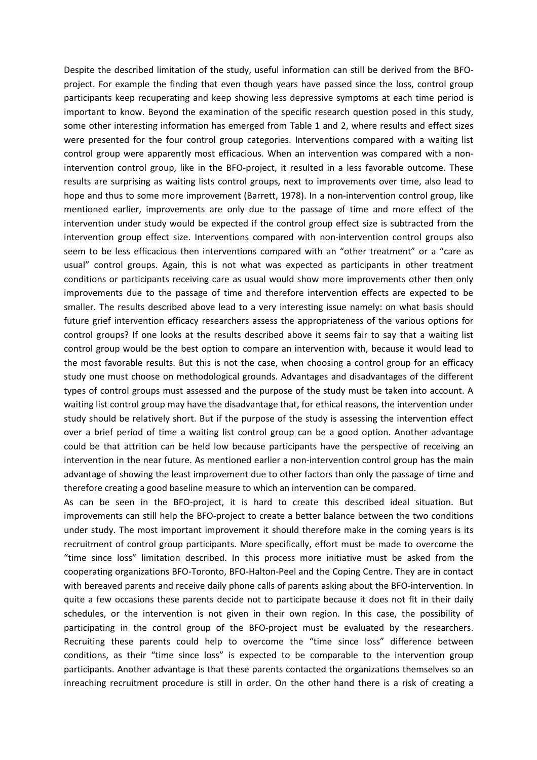Despite the described limitation of the study, useful information can still be derived from the BFOproject. For example the finding that even though years have passed since the loss, control group participants keep recuperating and keep showing less depressive symptoms at each time period is important to know. Beyond the examination of the specific research question posed in this study, some other interesting information has emerged from Table 1 and 2, where results and effect sizes were presented for the four control group categories. Interventions compared with a waiting list control group were apparently most efficacious. When an intervention was compared with a nonintervention control group, like in the BFO-project, it resulted in a less favorable outcome. These results are surprising as waiting lists control groups, next to improvements over time, also lead to hope and thus to some more improvement (Barrett, 1978). In a non-intervention control group, like mentioned earlier, improvements are only due to the passage of time and more effect of the intervention under study would be expected if the control group effect size is subtracted from the intervention group effect size. Interventions compared with non-intervention control groups also seem to be less efficacious then interventions compared with an "other treatment" or a "care as usual" control groups. Again, this is not what was expected as participants in other treatment conditions or participants receiving care as usual would show more improvements other then only improvements due to the passage of time and therefore intervention effects are expected to be smaller. The results described above lead to a very interesting issue namely: on what basis should future grief intervention efficacy researchers assess the appropriateness of the various options for control groups? If one looks at the results described above it seems fair to say that a waiting list control group would be the best option to compare an intervention with, because it would lead to the most favorable results. But this is not the case, when choosing a control group for an efficacy study one must choose on methodological grounds. Advantages and disadvantages of the different types of control groups must assessed and the purpose of the study must be taken into account. A waiting list control group may have the disadvantage that, for ethical reasons, the intervention under study should be relatively short. But if the purpose of the study is assessing the intervention effect over a brief period of time a waiting list control group can be a good option. Another advantage could be that attrition can be held low because participants have the perspective of receiving an intervention in the near future. As mentioned earlier a non-intervention control group has the main advantage of showing the least improvement due to other factors than only the passage of time and therefore creating a good baseline measure to which an intervention can be compared.

As can be seen in the BFO-project, it is hard to create this described ideal situation. But improvements can still help the BFO-project to create a better balance between the two conditions under study. The most important improvement it should therefore make in the coming years is its recruitment of control group participants. More specifically, effort must be made to overcome the "time since loss" limitation described. In this process more initiative must be asked from the cooperating organizations BFO-Toronto, BFO-Halton-Peel and the Coping Centre. They are in contact with bereaved parents and receive daily phone calls of parents asking about the BFO-intervention. In quite a few occasions these parents decide not to participate because it does not fit in their daily schedules, or the intervention is not given in their own region. In this case, the possibility of participating in the control group of the BFO-project must be evaluated by the researchers. Recruiting these parents could help to overcome the "time since loss" difference between conditions, as their "time since loss" is expected to be comparable to the intervention group participants. Another advantage is that these parents contacted the organizations themselves so an inreaching recruitment procedure is still in order. On the other hand there is a risk of creating a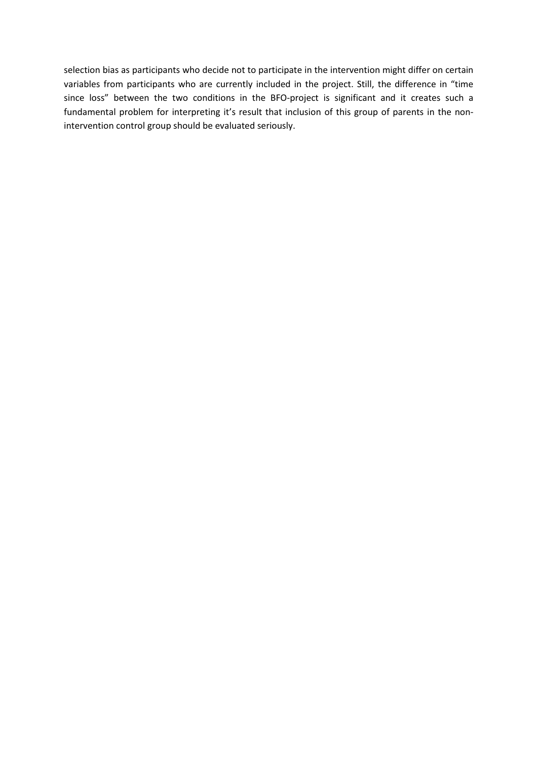selection bias as participants who decide not to participate in the intervention might differ on certain variables from participants who are currently included in the project. Still, the difference in "time since loss" between the two conditions in the BFO-project is significant and it creates such a fundamental problem for interpreting it's result that inclusion of this group of parents in the nonintervention control group should be evaluated seriously.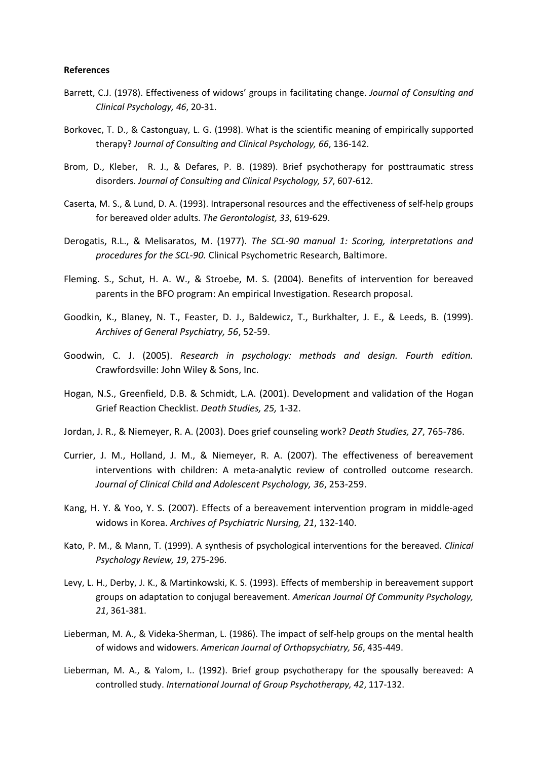#### References

- Barrett, C.J. (1978). Effectiveness of widows' groups in facilitating change. Journal of Consulting and Clinical Psychology, 46, 20-31.
- Borkovec, T. D., & Castonguay, L. G. (1998). What is the scientific meaning of empirically supported therapy? Journal of Consulting and Clinical Psychology, 66, 136-142.
- Brom, D., Kleber, R. J., & Defares, P. B. (1989). Brief psychotherapy for posttraumatic stress disorders. Journal of Consulting and Clinical Psychology, 57, 607-612.
- Caserta, M. S., & Lund, D. A. (1993). Intrapersonal resources and the effectiveness of self-help groups for bereaved older adults. The Gerontologist, 33, 619-629.
- Derogatis, R.L., & Melisaratos, M. (1977). The SCL-90 manual 1: Scoring, interpretations and procedures for the SCL-90. Clinical Psychometric Research, Baltimore.
- Fleming. S., Schut, H. A. W., & Stroebe, M. S. (2004). Benefits of intervention for bereaved parents in the BFO program: An empirical Investigation. Research proposal.
- Goodkin, K., Blaney, N. T., Feaster, D. J., Baldewicz, T., Burkhalter, J. E., & Leeds, B. (1999). Archives of General Psychiatry, 56, 52-59.
- Goodwin, C. J. (2005). Research in psychology: methods and design. Fourth edition. Crawfordsville: John Wiley & Sons, Inc.
- Hogan, N.S., Greenfield, D.B. & Schmidt, L.A. (2001). Development and validation of the Hogan Grief Reaction Checklist. Death Studies, 25, 1-32.
- Jordan, J. R., & Niemeyer, R. A. (2003). Does grief counseling work? Death Studies, 27, 765-786.
- Currier, J. M., Holland, J. M., & Niemeyer, R. A. (2007). The effectiveness of bereavement interventions with children: A meta-analytic review of controlled outcome research. Journal of Clinical Child and Adolescent Psychology, 36, 253-259.
- Kang, H. Y. & Yoo, Y. S. (2007). Effects of a bereavement intervention program in middle-aged widows in Korea. Archives of Psychiatric Nursing, 21, 132-140.
- Kato, P. M., & Mann, T. (1999). A synthesis of psychological interventions for the bereaved. Clinical Psychology Review, 19, 275-296.
- Levy, L. H., Derby, J. K., & Martinkowski, K. S. (1993). Effects of membership in bereavement support groups on adaptation to conjugal bereavement. American Journal Of Community Psychology, 21, 361-381.
- Lieberman, M. A., & Videka-Sherman, L. (1986). The impact of self-help groups on the mental health of widows and widowers. American Journal of Orthopsychiatry, 56, 435-449.
- Lieberman, M. A., & Yalom, I.. (1992). Brief group psychotherapy for the spousally bereaved: A controlled study. International Journal of Group Psychotherapy, 42, 117-132.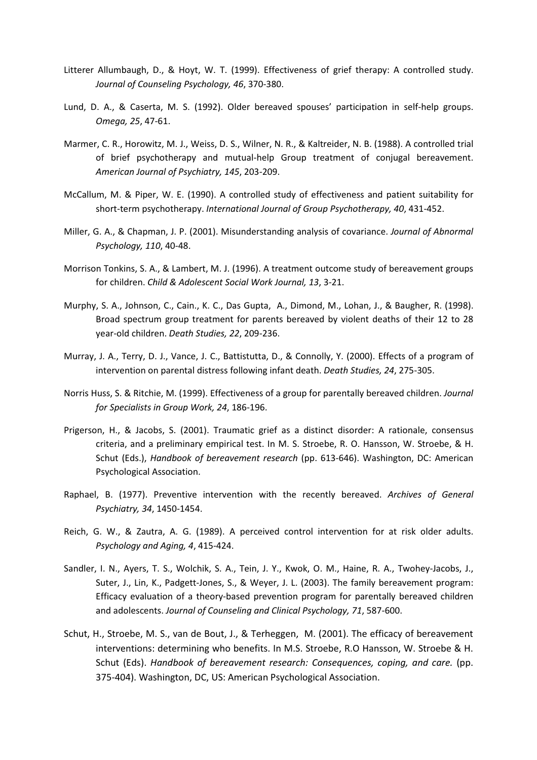- Litterer Allumbaugh, D., & Hoyt, W. T. (1999). Effectiveness of grief therapy: A controlled study. Journal of Counseling Psychology, 46, 370-380.
- Lund, D. A., & Caserta, M. S. (1992). Older bereaved spouses' participation in self-help groups. Omega, 25, 47-61.
- Marmer, C. R., Horowitz, M. J., Weiss, D. S., Wilner, N. R., & Kaltreider, N. B. (1988). A controlled trial of brief psychotherapy and mutual-help Group treatment of conjugal bereavement. American Journal of Psychiatry, 145, 203-209.
- McCallum, M. & Piper, W. E. (1990). A controlled study of effectiveness and patient suitability for short-term psychotherapy. International Journal of Group Psychotherapy, 40, 431-452.
- Miller, G. A., & Chapman, J. P. (2001). Misunderstanding analysis of covariance. Journal of Abnormal Psychology, 110, 40-48.
- Morrison Tonkins, S. A., & Lambert, M. J. (1996). A treatment outcome study of bereavement groups for children. Child & Adolescent Social Work Journal, 13, 3-21.
- Murphy, S. A., Johnson, C., Cain., K. C., Das Gupta, A., Dimond, M., Lohan, J., & Baugher, R. (1998). Broad spectrum group treatment for parents bereaved by violent deaths of their 12 to 28 year-old children. Death Studies, 22, 209-236.
- Murray, J. A., Terry, D. J., Vance, J. C., Battistutta, D., & Connolly, Y. (2000). Effects of a program of intervention on parental distress following infant death. Death Studies, 24, 275-305.
- Norris Huss, S. & Ritchie, M. (1999). Effectiveness of a group for parentally bereaved children. Journal for Specialists in Group Work, 24, 186-196.
- Prigerson, H., & Jacobs, S. (2001). Traumatic grief as a distinct disorder: A rationale, consensus criteria, and a preliminary empirical test. In M. S. Stroebe, R. O. Hansson, W. Stroebe, & H. Schut (Eds.), Handbook of bereavement research (pp. 613-646). Washington, DC: American Psychological Association.
- Raphael, B. (1977). Preventive intervention with the recently bereaved. Archives of General Psychiatry, 34, 1450-1454.
- Reich, G. W., & Zautra, A. G. (1989). A perceived control intervention for at risk older adults. Psychology and Aging, 4, 415-424.
- Sandler, I. N., Ayers, T. S., Wolchik, S. A., Tein, J. Y., Kwok, O. M., Haine, R. A., Twohey-Jacobs, J., Suter, J., Lin, K., Padgett-Jones, S., & Weyer, J. L. (2003). The family bereavement program: Efficacy evaluation of a theory-based prevention program for parentally bereaved children and adolescents. Journal of Counseling and Clinical Psychology, 71, 587-600.
- Schut, H., Stroebe, M. S., van de Bout, J., & Terheggen, M. (2001). The efficacy of bereavement interventions: determining who benefits. In M.S. Stroebe, R.O Hansson, W. Stroebe & H. Schut (Eds). Handbook of bereavement research: Consequences, coping, and care. (pp. 375-404). Washington, DC, US: American Psychological Association.